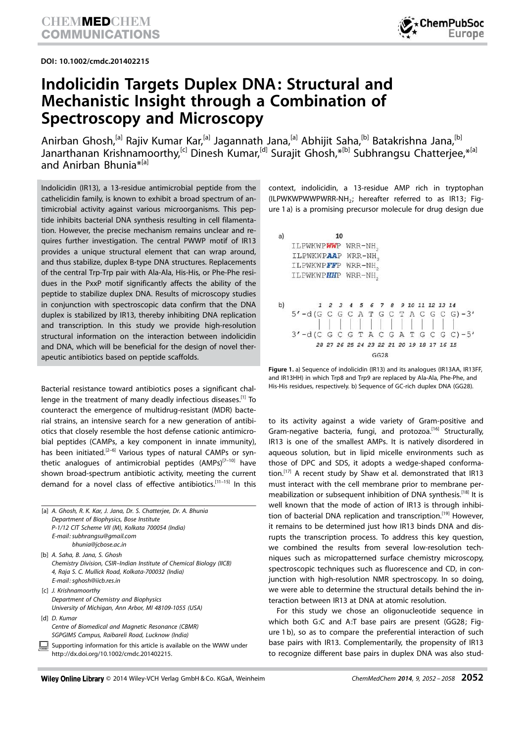DOI: 10.1002/cmdc.201402215



## Indolicidin Targets Duplex DNA: Structural and Mechanistic Insight through a Combination of Spectroscopy and Microscopy

Anirban Ghosh,<sup>[a]</sup> Rajiv Kumar Kar,<sup>[a]</sup> Jagannath Jana,<sup>[a]</sup> Abhijit Saha,<sup>[b]</sup> Batakrishna Jana,<sup>[b]</sup> Janarthanan Krishnamoorthy,<sup>[c]</sup> Dinesh Kumar,<sup>[d]</sup> Surajit Ghosh,\*<sup>[b]</sup> Subhrangsu Chatterjee,\*<sup>[a]</sup> and Anirban Bhunia<sup>\*[a]</sup>

Indolicidin (IR13), a 13-residue antimicrobial peptide from the cathelicidin family, is known to exhibit a broad spectrum of antimicrobial activity against various microorganisms. This peptide inhibits bacterial DNA synthesis resulting in cell filamentation. However, the precise mechanism remains unclear and requires further investigation. The central PWWP motif of IR13 provides a unique structural element that can wrap around, and thus stabilize, duplex B-type DNA structures. Replacements of the central Trp-Trp pair with Ala-Ala, His-His, or Phe-Phe residues in the PxxP motif significantly affects the ability of the peptide to stabilize duplex DNA. Results of microscopy studies in conjunction with spectroscopic data confirm that the DNA duplex is stabilized by IR13, thereby inhibiting DNA replication and transcription. In this study we provide high-resolution structural information on the interaction between indolicidin and DNA, which will be beneficial for the design of novel therapeutic antibiotics based on peptide scaffolds.

Bacterial resistance toward antibiotics poses a significant challenge in the treatment of many deadly infectious diseases.<sup>[1]</sup> To counteract the emergence of multidrug-resistant (MDR) bacterial strains, an intensive search for a new generation of antibiotics that closely resemble the host defense cationic antimicrobial peptides (CAMPs, a key component in innate immunity), has been initiated.<sup>[2–6]</sup> Various types of natural CAMPs or synthetic analogues of antimicrobial peptides  $(AMPs)^{[7-10]}$  have shown broad-spectrum antibiotic activity, meeting the current demand for a novel class of effective antibiotics.[11–15] In this

| [a] A. Ghosh, R. K. Kar, J. Jana, Dr. S. Chatterjee, Dr. A. Bhunia<br>Department of Biophysics, Bose Institute<br>P-1/12 CIT Scheme VII (M), Kolkata 700054 (India)<br>E-mail: subhrangsu@gmail.com<br>bhunia@jcbose.ac.in |
|----------------------------------------------------------------------------------------------------------------------------------------------------------------------------------------------------------------------------|
| [b] A. Saha, B. Jana, S. Ghosh<br>Chemistry Division, CSIR-Indian Institute of Chemical Biology (IICB)<br>4, Raja S. C. Mullick Road, Kolkata-700032 (India)<br>E-mail: sghosh@iicb.res.in                                 |
| [c] J. Krishnamoorthy<br>Department of Chemistry and Biophysics<br>University of Michigan, Ann Arbor, MI 48109-1055 (USA)                                                                                                  |
| [d] D. Kumar<br>Centre of Biomedical and Magnetic Resonance (CBMR)<br>SGPGIMS Campus, Raibareli Road, Lucknow (India)                                                                                                      |
| Supporting information for this article is available on the WWW under                                                                                                                                                      |

http://dx.doi.org/10.1002/cmdc.201402215.

context, indolicidin, a 13-residue AMP rich in tryptophan (ILPWKWPWWPWRR-NH<sub>2</sub>; hereafter referred to as IR13; Figure 1 a) is a promising precursor molecule for drug design due



Figure 1. a) Sequence of indolicidin (IR13) and its analogues (IR13AA, IR13FF, and IR13HH) in which Trp8 and Trp9 are replaced by Ala-Ala, Phe-Phe, and His-His residues, respectively. b) Sequence of GC-rich duplex DNA (GG28).

to its activity against a wide variety of Gram-positive and Gram-negative bacteria, fungi, and protozoa.<sup>[16]</sup> Structurally, IR13 is one of the smallest AMPs. It is natively disordered in aqueous solution, but in lipid micelle environments such as those of DPC and SDS, it adopts a wedge-shaped conformation.<sup>[17]</sup> A recent study by Shaw et al. demonstrated that IR13 must interact with the cell membrane prior to membrane permeabilization or subsequent inhibition of DNA synthesis.[18] It is well known that the mode of action of IR13 is through inhibition of bacterial DNA replication and transcription.<sup>[19]</sup> However, it remains to be determined just how IR13 binds DNA and disrupts the transcription process. To address this key question, we combined the results from several low-resolution techniques such as micropatterned surface chemistry microscopy, spectroscopic techniques such as fluorescence and CD, in conjunction with high-resolution NMR spectroscopy. In so doing, we were able to determine the structural details behind the interaction between IR13 at DNA at atomic resolution.

For this study we chose an oligonucleotide sequence in which both G:C and A:T base pairs are present (GG28; Figure 1 b), so as to compare the preferential interaction of such base pairs with IR13. Complementarily, the propensity of IR13 to recognize different base pairs in duplex DNA was also stud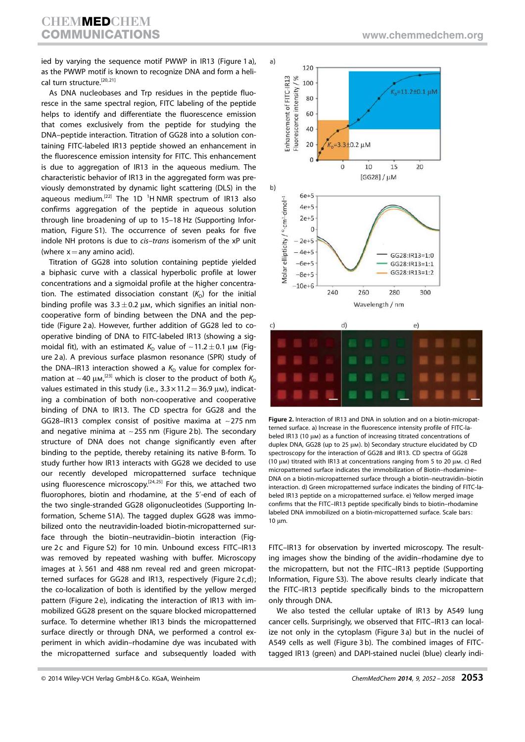ied by varying the sequence motif PWWP in IR13 (Figure 1 a), as the PWWP motif is known to recognize DNA and form a helical turn structure.<sup>[20, 21]</sup>

As DNA nucleobases and Trp residues in the peptide fluoresce in the same spectral region, FITC labeling of the peptide helps to identify and differentiate the fluorescence emission that comes exclusively from the peptide for studying the DNA–peptide interaction. Titration of GG28 into a solution containing FITC-labeled IR13 peptide showed an enhancement in the fluorescence emission intensity for FITC. This enhancement is due to aggregation of IR13 in the aqueous medium. The characteristic behavior of IR13 in the aggregated form was previously demonstrated by dynamic light scattering (DLS) in the aqueous medium.<sup>[22]</sup> The 1D<sup>1</sup>H NMR spectrum of IR13 also confirms aggregation of the peptide in aqueous solution through line broadening of up to 15–18 Hz (Supporting Information, Figure S1). The occurrence of seven peaks for five indole NH protons is due to *cis*–*trans* isomerism of the xP unit (where  $x=$ any amino acid).

Titration of GG28 into solution containing peptide yielded a biphasic curve with a classical hyperbolic profile at lower concentrations and a sigmoidal profile at the higher concentration. The estimated dissociation constant  $(K_D)$  for the initial binding profile was  $3.3 \pm 0.2$   $\mu$ m, which signifies an initial noncooperative form of binding between the DNA and the peptide (Figure 2 a). However, further addition of GG28 led to cooperative binding of DNA to FITC-labeled IR13 (showing a sigmoidal fit), with an estimated  $K_D$  value of  $\sim$  11.2  $\pm$  0.1  $\mu$ m (Figure 2 a). A previous surface plasmon resonance (SPR) study of the DNA–IR13 interaction showed a  $K<sub>D</sub>$  value for complex formation at  $\sim$  40  $\mu$ m,<sup>[23]</sup> which is closer to the product of both  $K_{\text{D}}$ values estimated in this study (i.e.,  $3.3 \times 11.2 = 36.9 \mu$ M), indicating a combination of both non-cooperative and cooperative binding of DNA to IR13. The CD spectra for GG28 and the GG28–IR13 complex consist of positive maxima at  $\sim$  275 nm and negative minima at  $\sim$  255 nm (Figure 2b). The secondary structure of DNA does not change significantly even after binding to the peptide, thereby retaining its native B-form. To study further how IR13 interacts with GG28 we decided to use our recently developed micropatterned surface technique using fluorescence microscopy.<sup>[24,25]</sup> For this, we attached two fluorophores, biotin and rhodamine, at the 5'-end of each of the two single-stranded GG28 oligonucleotides (Supporting Information, Scheme S1A). The tagged duplex GG28 was immobilized onto the neutravidin-loaded biotin-micropatterned surface through the biotin–neutravidin–biotin interaction (Figure 2c and Figure S2) for 10 min. Unbound excess FITC-IR13 was removed by repeated washing with buffer. Microscopy images at  $\lambda$  561 and 488 nm reveal red and green micropatterned surfaces for GG28 and IR13, respectively (Figure 2 c,d); the co-localization of both is identified by the yellow merged pattern (Figure 2e), indicating the interaction of IR13 with immobilized GG28 present on the square blocked micropatterned surface. To determine whether IR13 binds the micropatterned surface directly or through DNA, we performed a control experiment in which avidin–rhodamine dye was incubated with the micropatterned surface and subsequently loaded with



Figure 2. Interaction of IR13 and DNA in solution and on a biotin-micropatterned surface. a) Increase in the fluorescence intensity profile of FITC-labeled IR13 (10  $\mu$ m) as a function of increasing titrated concentrations of duplex DNA, GG28 (up to 25  $\mu$ m). b) Secondary structure elucidated by CD spectroscopy for the interaction of GG28 and IR13. CD spectra of GG28 (10  $\mu$ m) titrated with IR13 at concentrations ranging from 5 to 20  $\mu$ m. c) Red micropatterned surface indicates the immobilization of Biotin–rhodamine– DNA on a biotin-micropatterned surface through a biotin–neutravidin–biotin interaction. d) Green micropatterned surface indicates the binding of FITC-labeled IR13 peptide on a micropatterned surface. e) Yellow merged image confirms that the FITC–IR13 peptide specifically binds to biotin–rhodamine labeled DNA immobilized on a biotin-micropatterned surface. Scale bars:  $10 \mu m$ .

FITC–IR13 for observation by inverted microscopy. The resulting images show the binding of the avidin–rhodamine dye to the micropattern, but not the FITC–IR13 peptide (Supporting Information, Figure S3). The above results clearly indicate that the FITC–IR13 peptide specifically binds to the micropattern only through DNA.

We also tested the cellular uptake of IR13 by A549 lung cancer cells. Surprisingly, we observed that FITC–IR13 can localize not only in the cytoplasm (Figure 3 a) but in the nuclei of A549 cells as well (Figure 3 b). The combined images of FITCtagged IR13 (green) and DAPI-stained nuclei (blue) clearly indi-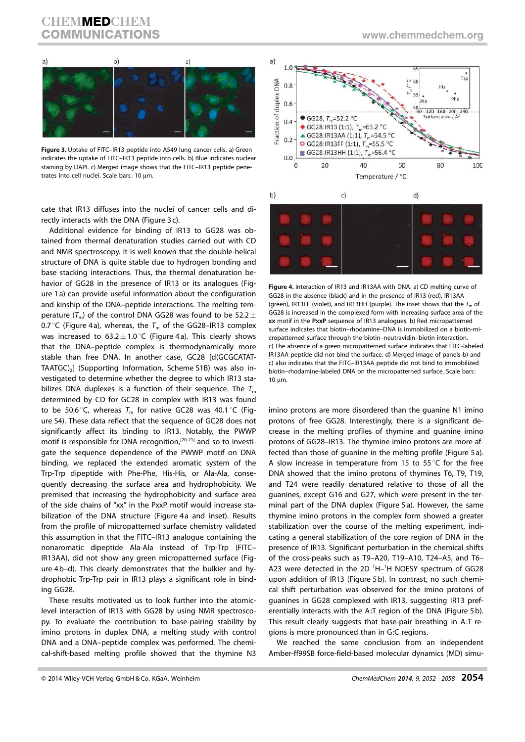## **CHEMMED CHEM** COMMUNICATIONS www.chemmedchem.org

a)

Fraction of duplex DNA

Figure 3. Uptake of FITC–IR13 peptide into A549 lung cancer cells. a) Green indicates the uptake of FITC–IR13 peptide into cells. b) Blue indicates nuclear staining by DAPI. c) Merged image shows that the FITC–IR13 peptide penetrates into cell nuclei. Scale bars: 10 µm.

cate that IR13 diffuses into the nuclei of cancer cells and directly interacts with the DNA (Figure 3 c).

Additional evidence for binding of IR13 to GG28 was obtained from thermal denaturation studies carried out with CD and NMR spectroscopy. It is well known that the double-helical structure of DNA is quite stable due to hydrogen bonding and base stacking interactions. Thus, the thermal denaturation behavior of GG28 in the presence of IR13 or its analogues (Figure 1 a) can provide useful information about the configuration and kinship of the DNA–peptide interactions. The melting temperature  $(T_{\text{m}})$  of the control DNA GG28 was found to be 52.2  $\pm$ 0.7 °C (Figure 4a), whereas, the  $T_m$  of the GG28–IR13 complex was increased to  $63.2 \pm 1.0\degree$ C (Figure 4a). This clearly shows that the DNA–peptide complex is thermodynamically more stable than free DNA. In another case, GC28 [d(GCGCATAT-TAATGC)<sub>2</sub>] (Supporting Information, Scheme S1B) was also investigated to determine whether the degree to which IR13 stabilizes DNA duplexes is a function of their sequence. The  $T_m$ determined by CD for GC28 in complex with IR13 was found to be 50.6 $\degree$ C, whereas  $T_m$  for native GC28 was 40.1 $\degree$ C (Figure S4). These data reflect that the sequence of GC28 does not significantly affect its binding to IR13. Notably, the PWWP motif is responsible for DNA recognition,<sup>[20,21]</sup> and so to investigate the sequence dependence of the PWWP motif on DNA binding, we replaced the extended aromatic system of the Trp-Trp dipeptide with Phe-Phe, His-His, or Ala-Ala, consequently decreasing the surface area and hydrophobicity. We premised that increasing the hydrophobicity and surface area of the side chains of "xx" in the PxxP motif would increase stabilization of the DNA structure (Figure 4a and inset). Results from the profile of micropatterned surface chemistry validated this assumption in that the FITC–IR13 analogue containing the nonaromatic dipeptide Ala-Ala instead of Trp-Trp (FITC– IR13AA), did not show any green micropatterned surface (Figure 4 b–d). This clearly demonstrates that the bulkier and hydrophobic Trp-Trp pair in IR13 plays a significant role in binding GG28.

These results motivated us to look further into the atomiclevel interaction of IR13 with GG28 by using NMR spectroscopy. To evaluate the contribution to base-pairing stability by imino protons in duplex DNA, a melting study with control DNA and a DNA–peptide complex was performed. The chemical-shift-based melting profile showed that the thymine N3





Temperature / °C

Figure 4. Interaction of IR13 and IR13AA with DNA. a) CD melting curve of GG28 in the absence (black) and in the presence of IR13 (red), IR13AA (green), IR13FF (violet), and IR13HH (purple). The inset shows that the  $T_m$  of GG28 is increased in the complexed form with increasing surface area of the xx motif in the PxxP sequence of IR13 analogues. b) Red micropatterned surface indicates that biotin–rhodamine–DNA is immobilized on a biotin-micropatterned surface through the biotin–neutravidin–biotin interaction. c) The absence of a green micropatterned surface indicates that FITC-labeled IR13AA peptide did not bind the surface. d) Merged image of panels b) and c) also indicates that the FITC–IR13AA peptide did not bind to immobilized biotin–rhodamine-labeled DNA on the micropatterned surface. Scale bars:  $10 \mu m$ .

imino protons are more disordered than the guanine N1 imino protons of free GG28. Interestingly, there is a significant decrease in the melting profiles of thymine and guanine imino protons of GG28–IR13. The thymine imino protons are more affected than those of guanine in the melting profile (Figure 5 a). A slow increase in temperature from 15 to 55 $^{\circ}$ C for the free DNA showed that the imino protons of thymines T6, T9, T19, and T24 were readily denatured relative to those of all the guanines, except G16 and G27, which were present in the terminal part of the DNA duplex (Figure 5 a). However, the same thymine imino protons in the complex form showed a greater stabilization over the course of the melting experiment, indicating a general stabilization of the core region of DNA in the presence of IR13. Significant perturbation in the chemical shifts of the cross-peaks such as T9–A20, T19–A10, T24–A5, and T6– A23 were detected in the 2D  $^1$ H $-$ <sup>1</sup>H NOESY spectrum of GG28 upon addition of IR13 (Figure 5 b). In contrast, no such chemical shift perturbation was observed for the imino protons of guanines in GG28 complexed with IR13, suggesting IR13 preferentially interacts with the A:T region of the DNA (Figure 5 b). This result clearly suggests that base-pair breathing in A:T regions is more pronounced than in G:C regions.

We reached the same conclusion from an independent Amber-ff99SB force-field-based molecular dynamics (MD) simu-

© 2014 Wiley-VCH Verlag GmbH & Co. KGaA, Weinheim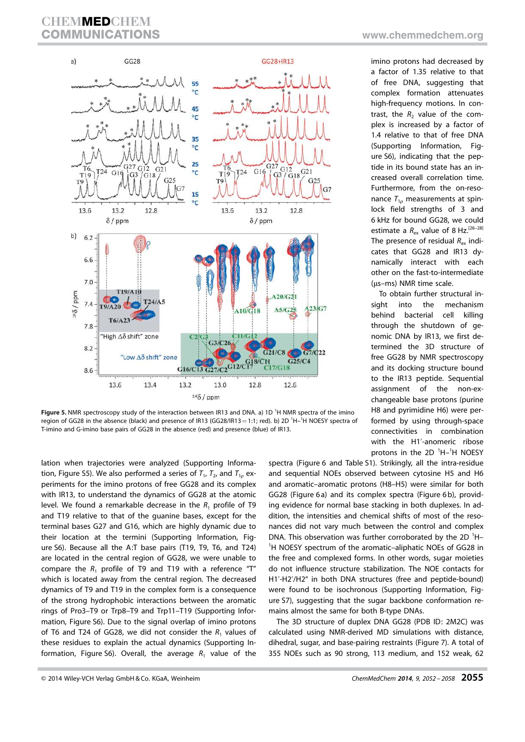

Figure 5. NMR spectroscopy study of the interaction between IR13 and DNA. a) 1D<sup>1</sup>H NMR spectra of the imino region of GG28 in the absence (black) and presence of IR13 (GG28/IR13 = 1:1; red). b) 2D <sup>1</sup>H-<sup>1</sup>H NOESY spectra of T-imino and G-imino base pairs of GG28 in the absence (red) and presence (blue) of IR13.

lation when trajectories were analyzed (Supporting Information, Figure S5). We also performed a series of  $T_1$ ,  $T_2$ , and  $T_{1\rho}$  experiments for the imino protons of free GG28 and its complex with IR13, to understand the dynamics of GG28 at the atomic level. We found a remarkable decrease in the  $R_1$  profile of T9 and T19 relative to that of the guanine bases, except for the terminal bases G27 and G16, which are highly dynamic due to their location at the termini (Supporting Information, Figure S6). Because all the A:T base pairs (T19, T9, T6, and T24) are located in the central region of GG28, we were unable to compare the  $R_1$  profile of T9 and T19 with a reference "T" which is located away from the central region. The decreased dynamics of T9 and T19 in the complex form is a consequence of the strong hydrophobic interactions between the aromatic rings of Pro3–T9 or Trp8–T9 and Trp11–T19 (Supporting Information, Figure S6). Due to the signal overlap of imino protons of T6 and T24 of GG28, we did not consider the  $R_1$  values of these residues to explain the actual dynamics (Supporting Information, Figure S6). Overall, the average  $R_1$  value of the imino protons had decreased by a factor of 1.35 relative to that of free DNA, suggesting that complex formation attenuates high-frequency motions. In contrast, the  $R_2$  value of the complex is increased by a factor of 1.4 relative to that of free DNA (Supporting Information, Figure S6), indicating that the peptide in its bound state has an increased overall correlation time. Furthermore, from the on-resonance  $T_{10}$  measurements at spinlock field strengths of 3 and 6 kHz for bound GG28, we could estimate a  $R_{ex}$  value of 8 Hz.<sup>[26-28]</sup> The presence of residual  $R_{ex}$  indicates that GG28 and IR13 dynamically interact with each other on the fast-to-intermediate (µs-ms) NMR time scale.

To obtain further structural insight into the mechanism behind bacterial cell killing through the shutdown of genomic DNA by IR13, we first determined the 3D structure of free GG28 by NMR spectroscopy and its docking structure bound to the IR13 peptide. Sequential assignment of the non-exchangeable base protons (purine H8 and pyrimidine H6) were performed by using through-space connectivities in combination with the H1'-anomeric ribose protons in the  $2D<sup>-1</sup>H<sup>-1</sup>H$  NOESY

spectra (Figure 6 and Table S1). Strikingly, all the intra-residue and sequential NOEs observed between cytosine H5 and H6 and aromatic–aromatic protons (H8–H5) were similar for both GG28 (Figure 6a) and its complex spectra (Figure 6b), providing evidence for normal base stacking in both duplexes. In addition, the intensities and chemical shifts of most of the resonances did not vary much between the control and complex DNA. This observation was further corroborated by the 2D <sup>1</sup>H-<sup>1</sup>H NOESY spectrum of the aromatic-aliphatic NOEs of GG28 in the free and complexed forms. In other words, sugar moieties do not influence structure stabilization. The NOE contacts for H1'-H2'/H2" in both DNA structures (free and peptide-bound) were found to be isochronous (Supporting Information, Figure S7), suggesting that the sugar backbone conformation remains almost the same for both B-type DNAs.

The 3D structure of duplex DNA GG28 (PDB ID: 2M2C) was calculated using NMR-derived MD simulations with distance, dihedral, sugar, and base-pairing restraints (Figure 7). A total of 355 NOEs such as 90 strong, 113 medium, and 152 weak, 62

<sup>© 2014</sup> Wiley-VCH Verlag GmbH & Co. KGaA, Weinheim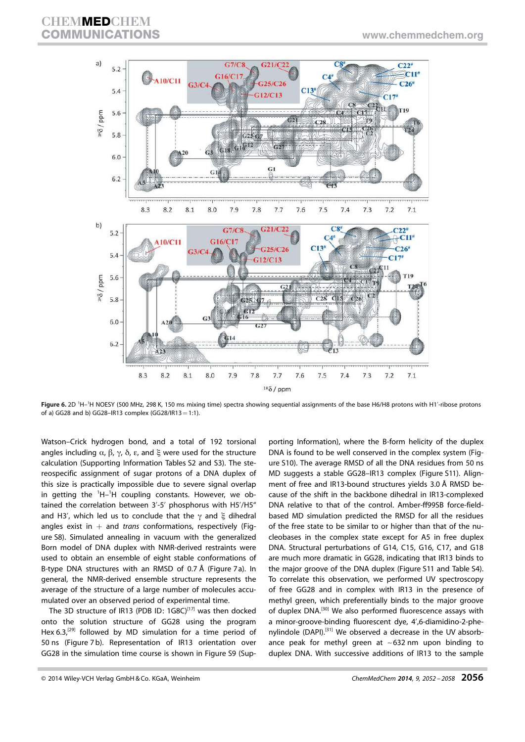

Figure 6. 2D <sup>1</sup>H–<sup>1</sup>H NOESY (500 MHz, 298 K, 150 ms mixing time) spectra showing sequential assignments of the base H6/H8 protons with H1'-ribose protons of a) GG28 and b) GG28-IR13 complex (GG28/IR13=1:1).

Watson–Crick hydrogen bond, and a total of 192 torsional angles including  $\alpha$ ,  $\beta$ ,  $\gamma$ ,  $\delta$ ,  $\varepsilon$ , and  $\xi$  were used for the structure calculation (Supporting Information Tables S2 and S3). The stereospecific assignment of sugar protons of a DNA duplex of this size is practically impossible due to severe signal overlap in getting the  ${}^{1}$ H- ${}^{1}$ H coupling constants. However, we obtained the correlation between 3'-5' phosphorus with H5'/H5" and H3', which led us to conclude that the  $\gamma$  and  $\xi$  dihedral angles exist in  $+$  and *trans* conformations, respectively (Figure S8). Simulated annealing in vacuum with the generalized Born model of DNA duplex with NMR-derived restraints were used to obtain an ensemble of eight stable conformations of B-type DNA structures with an RMSD of 0.7 Å (Figure 7 a). In general, the NMR-derived ensemble structure represents the average of the structure of a large number of molecules accumulated over an observed period of experimental time.

The 3D structure of IR13 (PDB ID: 1G8C)<sup>[17]</sup> was then docked onto the solution structure of GG28 using the program Hex  $6.3$ ,<sup>[29]</sup> followed by MD simulation for a time period of 50 ns (Figure 7 b). Representation of IR13 orientation over GG28 in the simulation time course is shown in Figure S9 (Sup-

porting Information), where the B-form helicity of the duplex DNA is found to be well conserved in the complex system (Figure S10). The average RMSD of all the DNA residues from 50 ns MD suggests a stable GG28–IR13 complex (Figure S11). Alignment of free and IR13-bound structures yields 3.0 Å RMSD because of the shift in the backbone dihedral in IR13-complexed DNA relative to that of the control. Amber-ff99SB force-fieldbased MD simulation predicted the RMSD for all the residues of the free state to be similar to or higher than that of the nucleobases in the complex state except for A5 in free duplex DNA. Structural perturbations of G14, C15, G16, C17, and G18 are much more dramatic in GG28, indicating that IR13 binds to the major groove of the DNA duplex (Figure S11 and Table S4). To correlate this observation, we performed UV spectroscopy of free GG28 and in complex with IR13 in the presence of methyl green, which preferentially binds to the major groove of duplex DNA.<sup>[30]</sup> We also performed fluorescence assays with a minor-groove-binding fluorescent dye, 4',6-diamidino-2-phenylindole (DAPI).[31] We observed a decrease in the UV absorbance peak for methyl green at  $\sim$  632 nm upon binding to duplex DNA. With successive additions of IR13 to the sample

<sup>© 2014</sup> Wiley-VCH Verlag GmbH & Co. KGaA, Weinheim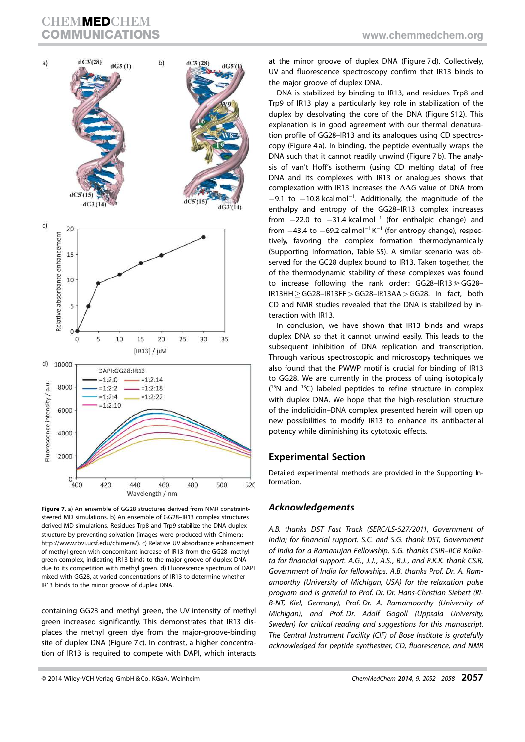

Figure 7. a) An ensemble of GG28 structures derived from NMR constraintsteered MD simulations. b) An ensemble of GG28–IR13 complex structures derived MD simulations. Residues Trp8 and Trp9 stabilize the DNA duplex structure by preventing solvation (images were produced with Chimera: http://www.rbvi.ucsf.edu/chimera/). c) Relative UV absorbance enhancement of methyl green with concomitant increase of IR13 from the GG28–methyl green complex, indicating IR13 binds to the major groove of duplex DNA due to its competition with methyl green. d) Fluorescence spectrum of DAPI mixed with GG28, at varied concentrations of IR13 to determine whether IR13 binds to the minor groove of duplex DNA.

containing GG28 and methyl green, the UV intensity of methyl green increased significantly. This demonstrates that IR13 displaces the methyl green dye from the major-groove-binding site of duplex DNA (Figure 7c). In contrast, a higher concentration of IR13 is required to compete with DAPI, which interacts at the minor groove of duplex DNA (Figure 7 d). Collectively, UV and fluorescence spectroscopy confirm that IR13 binds to the major groove of duplex DNA.

DNA is stabilized by binding to IR13, and residues Trp8 and Trp9 of IR13 play a particularly key role in stabilization of the duplex by desolvating the core of the DNA (Figure S12). This explanation is in good agreement with our thermal denaturation profile of GG28–IR13 and its analogues using CD spectroscopy (Figure 4 a). In binding, the peptide eventually wraps the DNA such that it cannot readily unwind (Figure 7 b). The analysis of van't Hoff's isotherm (using CD melting data) of free DNA and its complexes with IR13 or analogues shows that complexation with IR13 increases the  $\Delta\Delta G$  value of DNA from  $-9.1$  to  $-10.8$  kcalmol<sup>-1</sup>. Additionally, the magnitude of the enthalpy and entropy of the GG28–IR13 complex increases from  $-22.0$  to  $-31.4$  kcalmol<sup>-1</sup> (for enthalpic change) and from  $-43.4$  to  $-69.2$  calmol<sup>-1</sup> K<sup>-1</sup> (for entropy change), respectively, favoring the complex formation thermodynamically (Supporting Information, Table S5). A similar scenario was observed for the GC28 duplex bound to IR13. Taken together, the of the thermodynamic stability of these complexes was found to increase following the rank order:  $GG28 - IR13 \geq GG28 IR13HH \geq GG28-IR13FF > GG28-IR13AA > GG28.$  In fact, both CD and NMR studies revealed that the DNA is stabilized by interaction with IR13.

In conclusion, we have shown that IR13 binds and wraps duplex DNA so that it cannot unwind easily. This leads to the subsequent inhibition of DNA replication and transcription. Through various spectroscopic and microscopy techniques we also found that the PWWP motif is crucial for binding of IR13 to GG28. We are currently in the process of using isotopically  $(15N)$  and  $13C)$  labeled peptides to refine structure in complex with duplex DNA. We hope that the high-resolution structure of the indolicidin–DNA complex presented herein will open up new possibilities to modify IR13 to enhance its antibacterial potency while diminishing its cytotoxic effects.

## Experimental Section

Detailed experimental methods are provided in the Supporting Information.

## Acknowledgements

*A.B. thanks DST Fast Track (SERC/LS-527/2011, Government of India) for financial support. S.C. and S.G. thank DST, Government of India for a Ramanujan Fellowship. S.G. thanks CSIR–IICB Kolkata for financial support. A.G., J.J., A.S., B.J., and R.K.K. thank CSIR, Government of India for fellowships. A.B. thanks Prof. Dr. A. Ramamoorthy (University of Michigan, USA) for the relaxation pulse program and is grateful to Prof. Dr. Dr. Hans-Christian Siebert (RI-B-NT, Kiel, Germany), Prof. Dr. A. Ramamoorthy (University of Michigan), and Prof. Dr. Adolf Gogoll (Uppsala University, Sweden) for critical reading and suggestions for this manuscript. The Central Instrument Facility (CIF) of Bose Institute is gratefully acknowledged for peptide synthesizer, CD, fluorescence, and NMR*